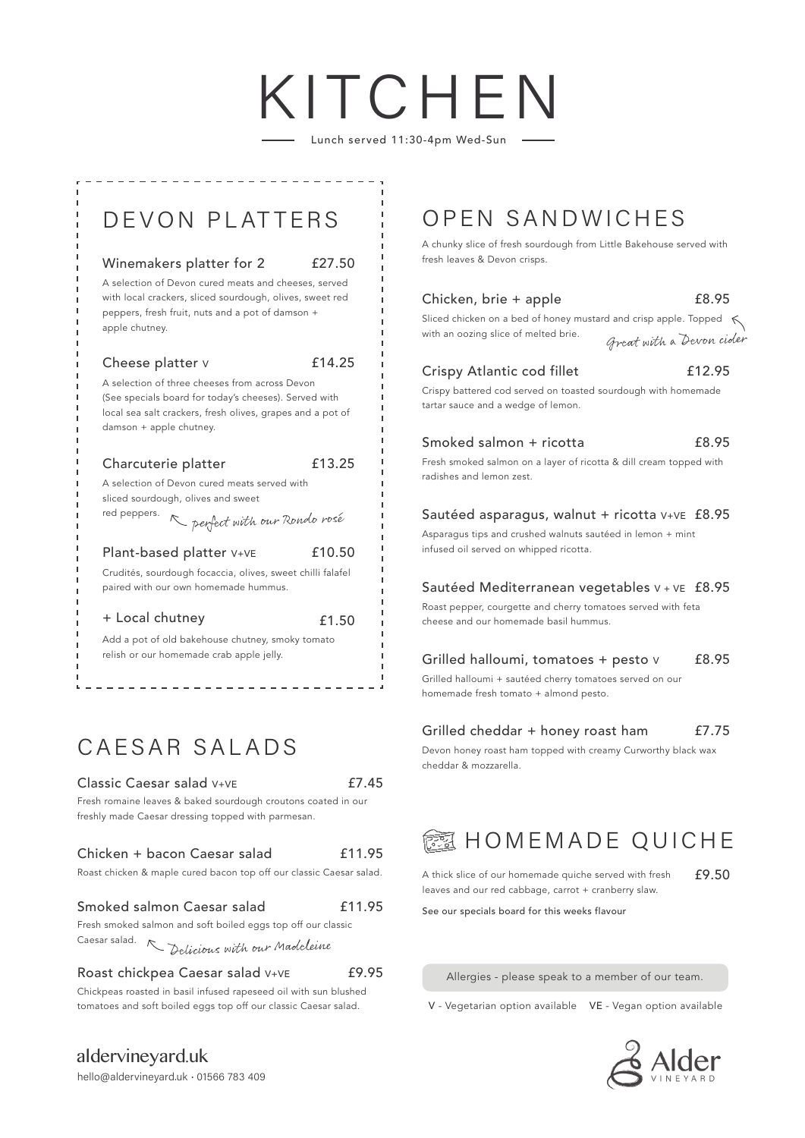# KITCHE

Lunch served 11:30-4pm Wed-Sun



# CAESAR SALADS

## Classic Caesar salad V+VE

£7.45

£9.95

Fresh romaine leaves & baked sourdough croutons coated in our freshly made Caesar dressing topped with parmesan.

### Chicken + bacon Caesar salad £11.95

Roast chicken & maple cured bacon top off our classic Caesar salad.

### Smoked salmon Caesar salad £11.95

Fresh smoked salmon and soft boiled eggs top off our classic Caesar salad.

Delicious with our Madeleine

## Roast chickpea Caesar salad V+VE

Chickpeas roasted in basil infused rapeseed oil with sun blushed

A chunky slice of fresh sourdough from Little Bakehouse served with fresh leaves & Devon crisps.

| Chicken, brie + apple                                                                                                                       | £8.95  |
|---------------------------------------------------------------------------------------------------------------------------------------------|--------|
| Sliced chicken on a bed of honey mustard and crisp apple. Topped $\leq$<br>with an oozing slice of melted brie.<br>Great with a Devon cider |        |
| Crispy Atlantic cod fillet                                                                                                                  | £12.95 |
| Crispy battered cod served on toasted sourdough with homemade<br>tartar sauce and a wedge of lemon.                                         |        |
| Smoked salmon + ricotta                                                                                                                     | £8.95  |
| Fresh smoked salmon on a layer of ricotta & dill cream topped with<br>radishes and lemon zest.                                              |        |
| Sautéed asparagus, walnut + ricotta V+VE £8.95                                                                                              |        |
| Asparagus tips and crushed walnuts sautéed in lemon + mint<br>infused oil served on whipped ricotta.                                        |        |
| Sautéed Mediterranean vegetables V + VE £8.95                                                                                               |        |
| Roast pepper, courgette and cherry tomatoes served with feta<br>cheese and our homemade basil hummus.                                       |        |
| Grilled halloumi, tomatoes + pesto v                                                                                                        | £8.95  |
| Grilled halloumi + sautéed cherry tomatoes served on our                                                                                    |        |
| homemade fresh tomato + almond pesto.                                                                                                       |        |

### Grilled cheddar + honey roast ham £7.75

Devon honey roast ham topped with creamy Curworthy black wax cheddar & mozzarella.



A thick slice of our homemade quiche served with fresh leaves and our red cabbage, carrot + cranberry slaw. £9.50

See our specials board for this weeks flavour

Allergies - please speak to a member of our team.

tomatoes and soft boiled eggs top off our classic Caesar salad. V - Vegetarian option available VE - Vegan option available



aldervineyard.uk hello@aldervineyard.uk · 01566 783 409